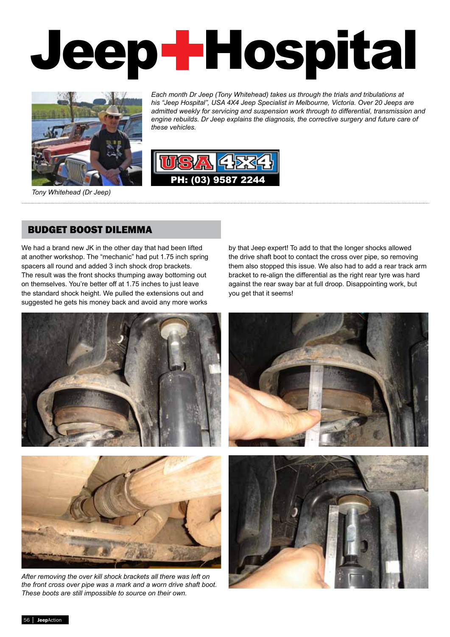# Melbourne's leading Rancho Dealer with shocks to suit most 4WDs  $\blacksquare$ ACCESSORIES, SPARES, SERVICE AND ADVICE Jeep Hospital



*Each month Dr Jeep (Tony Whitehead) takes us through the trials and tribulations at his "Jeep Hospital", USA 4X4 Jeep Specialist in Melbourne, Victoria. Over 20 Jeeps are admitted weekly for servicing and suspension work through to differential, transmission and engine rebuilds. Dr Jeep explains the diagnosis, the corrective surgery and future care of these vehicles.*

USA 4X4 AD SEPT 07.indd 1 1/04/2008 12:56:49 PM



*Tony Whitehead (Dr Jeep)*

#### BUDGET BOOST DILEMMA

We had a brand new JK in the other day that had been lifted at another workshop. The "mechanic" had put 1.75 inch spring spacers all round and added 3 inch shock drop brackets. The result was the front shocks thumping away bottoming out on themselves. You're better off at 1.75 inches to just leave the standard shock height. We pulled the extensions out and suggested he gets his money back and avoid any more works by that Jeep expert! To add to that the longer shocks allowed the drive shaft boot to contact the cross over pipe, so removing them also stopped this issue. We also had to add a rear track arm bracket to re-align the differential as the right rear tyre was hard against the rear sway bar at full droop. Disappointing work, but you get that it seems!



*After removing the over kill shock brackets all there was left on the front cross over pipe was a mark and a worn drive shaft boot. These boots are still impossible to source on their own.*

56 │ JeepAction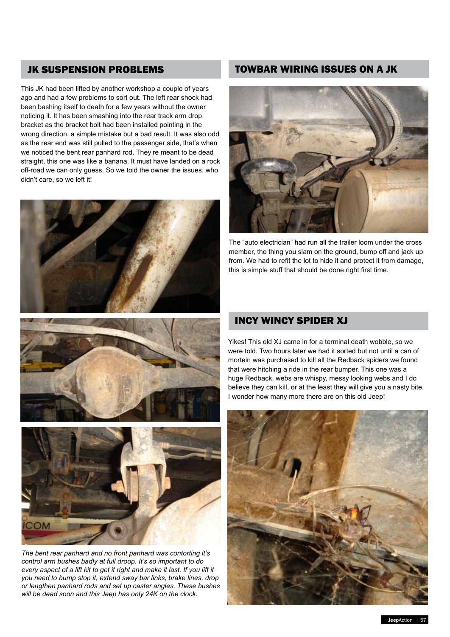This JK had been lifted by another workshop a couple of years ago and had a few problems to sort out. The left rear shock had been bashing itself to death for a few years without the owner noticing it. It has been smashing into the rear track arm drop bracket as the bracket bolt had been installed pointing in the wrong direction, a simple mistake but a bad result. It was also odd as the rear end was still pulled to the passenger side, that's when we noticed the bent rear panhard rod. They're meant to be dead straight, this one was like a banana. It must have landed on a rock off-road we can only guess. So we told the owner the issues, who didn't care, so we left it!







*The bent rear panhard and no front panhard was contorting it's control arm bushes badly at full droop. It's so important to do every aspect of a lift kit to get it right and make it last. If you lift it you need to bump stop it, extend sway bar links, brake lines, drop or lengthen panhard rods and set up caster angles. These bushes will be dead soon and this Jeep has only 24K on the clock.*

### JK SUSPENSION PROBLEMS TOWBAR WIRING ISSUES ON A JK



The "auto electrician" had run all the trailer loom under the cross member, the thing you slam on the ground, bump off and jack up from. We had to refit the lot to hide it and protect it from damage, this is simple stuff that should be done right first time.

## INCY WINCY SPIDER XJ

Yikes! This old XJ came in for a terminal death wobble, so we were told. Two hours later we had it sorted but not until a can of mortein was purchased to kill all the Redback spiders we found that were hitching a ride in the rear bumper. This one was a huge Redback, webs are whispy, messy looking webs and I do believe they can kill, or at the least they will give you a nasty bite. I wonder how many more there are on this old Jeep!